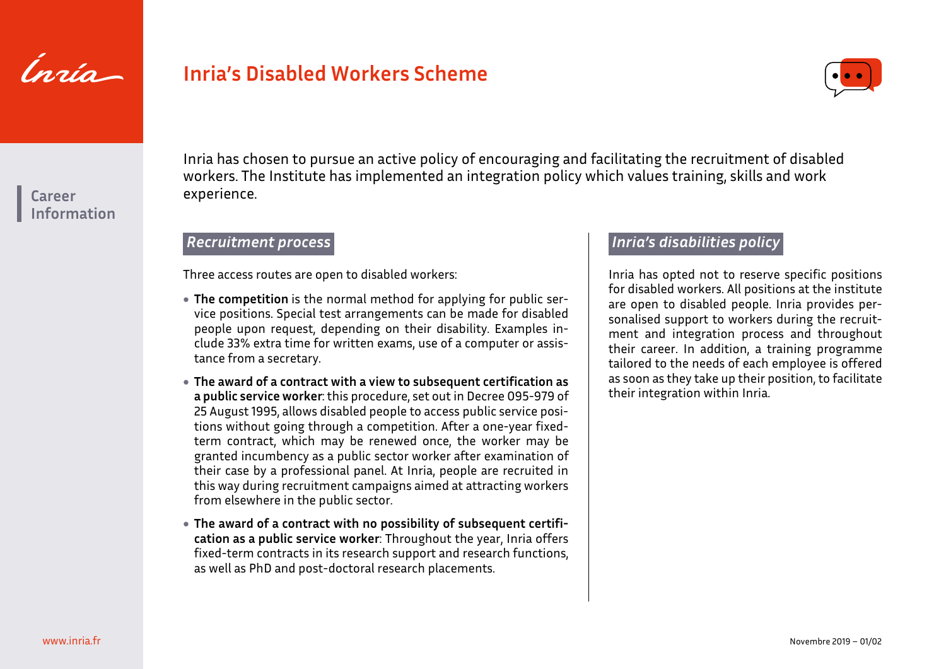

# **Inria's Disabled Workers Scheme**



**Career Information** Inria has chosen to pursue an active policy of encouraging and facilitating the recruitment of disabled workers. The Institute has implemented an integration policy which values training, skills and work experience.

#### *Recruitment process*

Three access routes are open to disabled workers:

- **The competition** is the normal method for applying for public service positions. Special test arrangements can be made for disabled people upon request, depending on their disability. Examples include 33% extra time for written exams, use of a computer or assistance from a secretary.
- **The award of a contract with a view to subsequent certification as a public service worker**: this procedure, set out in Decree 095-979 of 25 August 1995, allows disabled people to access public service positions without going through a competition. After a one-year fixedterm contract, which may be renewed once, the worker may be granted incumbency as a public sector worker after examination of their case by a professional panel. At Inria, people are recruited in this way during recruitment campaigns aimed at attracting workers from elsewhere in the public sector.
- **The award of a contract with no possibility of subsequent certification as a public service worker**: Throughout the year, Inria offers fixed-term contracts in its research support and research functions, as well as PhD and post-doctoral research placements.

#### *Inria's disabilities policy*

Inria has opted not to reserve specific positions for disabled workers. All positions at the institute are open to disabled people. Inria provides personalised support to workers during the recruitment and integration process and throughout their career. In addition, a training programme tailored to the needs of each employee is offered as soon as they take up their position, to facilitate their integration within Inria.